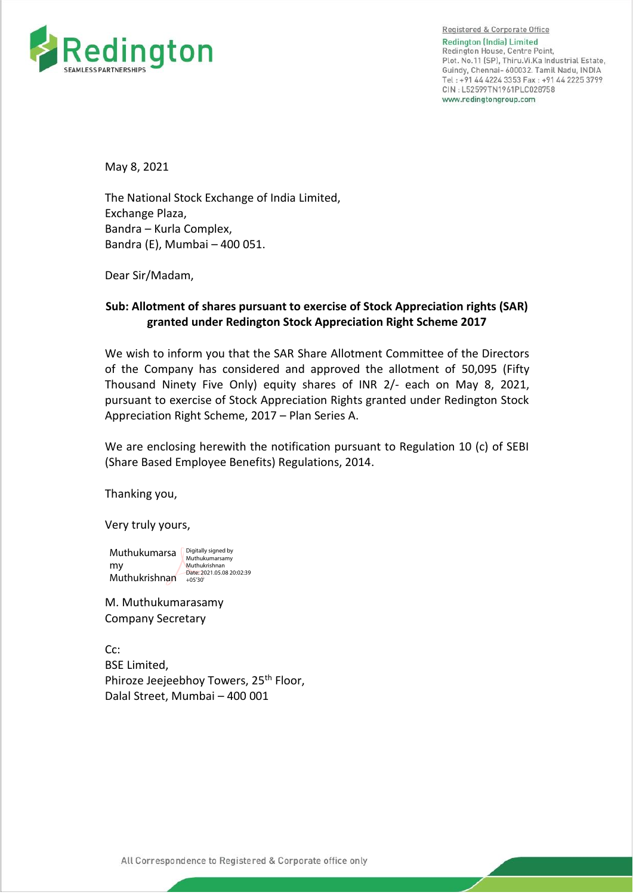

Registered & Corporate Office Redington (India) Limited Redington House, Centre Point, Plot. No.11 (SP), Thiru. Vi. Ka Industrial Estate, Guindy, Chennai- 600032. Tamil Nadu, INDIA Tel: +91 44 4224 3353 Fax: +91 44 2225 3799 CIN: L52599TN1961PLC028758 www.redingtongroup.com

May 8, 2021

The National Stock Exchange of India Limited, Exchange Plaza, Bandra – Kurla Complex, Bandra (E), Mumbai – 400 051.

Dear Sir/Madam,

## **Sub: Allotment of shares pursuant to exercise of Stock Appreciation rights (SAR) granted under Redington Stock Appreciation Right Scheme 2017**

We wish to inform you that the SAR Share Allotment Committee of the Directors of the Company has considered and approved the allotment of 50,095 (Fifty Thousand Ninety Five Only) equity shares of INR 2/- each on May 8, 2021, pursuant to exercise of Stock Appreciation Rights granted under Redington Stock Appreciation Right Scheme, 2017 – Plan Series A.

We are enclosing herewith the notification pursuant to Regulation 10 (c) of SEBI (Share Based Employee Benefits) Regulations, 2014.

Thanking you,

Very truly yours,

Muthukumarsa **Digitally signed by** my Muthukrishnan - Date: 2021.05.08 20:02:39 Muthukrishnan

M. Muthukumarasamy Company Secretary

Cc: BSE Limited, Phiroze Jeejeebhoy Towers, 25<sup>th</sup> Floor, Dalal Street, Mumbai – 400 001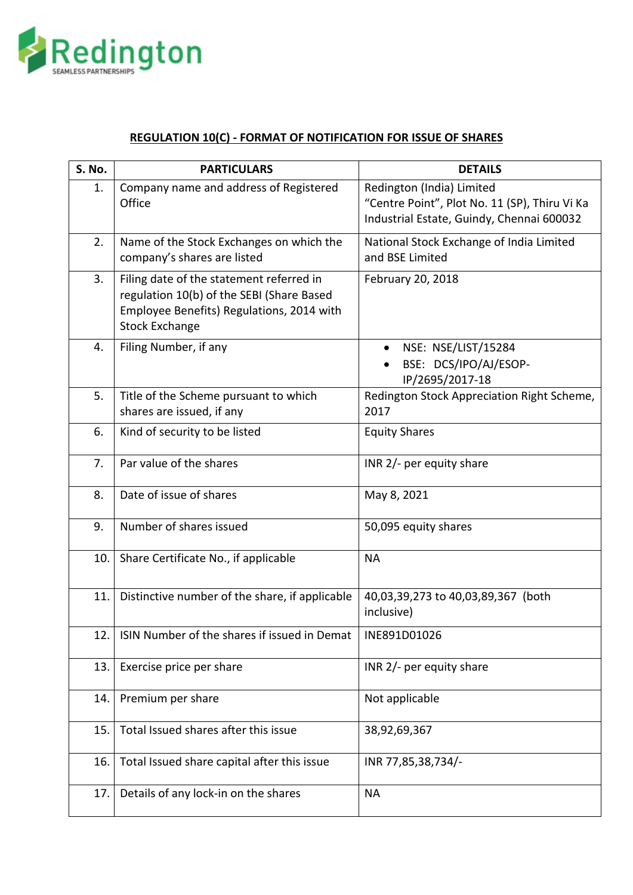

## **REGULATION 10(C) - FORMAT OF NOTIFICATION FOR ISSUE OF SHARES**

| S. No. | <b>PARTICULARS</b>                                                                                                                                          | <b>DETAILS</b>                                                                                                          |
|--------|-------------------------------------------------------------------------------------------------------------------------------------------------------------|-------------------------------------------------------------------------------------------------------------------------|
| 1.     | Company name and address of Registered<br>Office                                                                                                            | Redington (India) Limited<br>"Centre Point", Plot No. 11 (SP), Thiru Vi Ka<br>Industrial Estate, Guindy, Chennai 600032 |
| 2.     | Name of the Stock Exchanges on which the<br>company's shares are listed                                                                                     | National Stock Exchange of India Limited<br>and BSE Limited                                                             |
| 3.     | Filing date of the statement referred in<br>regulation 10(b) of the SEBI (Share Based<br>Employee Benefits) Regulations, 2014 with<br><b>Stock Exchange</b> | February 20, 2018                                                                                                       |
| 4.     | Filing Number, if any                                                                                                                                       | NSE: NSE/LIST/15284<br>$\bullet$<br>BSE: DCS/IPO/AJ/ESOP-<br>IP/2695/2017-18                                            |
| 5.     | Title of the Scheme pursuant to which<br>shares are issued, if any                                                                                          | Redington Stock Appreciation Right Scheme,<br>2017                                                                      |
| 6.     | Kind of security to be listed                                                                                                                               | <b>Equity Shares</b>                                                                                                    |
| 7.     | Par value of the shares                                                                                                                                     | INR 2/- per equity share                                                                                                |
| 8.     | Date of issue of shares                                                                                                                                     | May 8, 2021                                                                                                             |
| 9.     | Number of shares issued                                                                                                                                     | 50,095 equity shares                                                                                                    |
| 10.    | Share Certificate No., if applicable                                                                                                                        | <b>NA</b>                                                                                                               |
| 11.    | Distinctive number of the share, if applicable                                                                                                              | 40,03,39,273 to 40,03,89,367 (both<br>inclusive)                                                                        |
| 12.    | ISIN Number of the shares if issued in Demat                                                                                                                | INE891D01026                                                                                                            |
| 13.    | Exercise price per share                                                                                                                                    | INR 2/- per equity share                                                                                                |
| 14.    | Premium per share                                                                                                                                           | Not applicable                                                                                                          |
| 15.    | Total Issued shares after this issue                                                                                                                        | 38,92,69,367                                                                                                            |
| 16.    | Total Issued share capital after this issue                                                                                                                 | INR 77,85,38,734/-                                                                                                      |
| 17.    | Details of any lock-in on the shares                                                                                                                        | <b>NA</b>                                                                                                               |